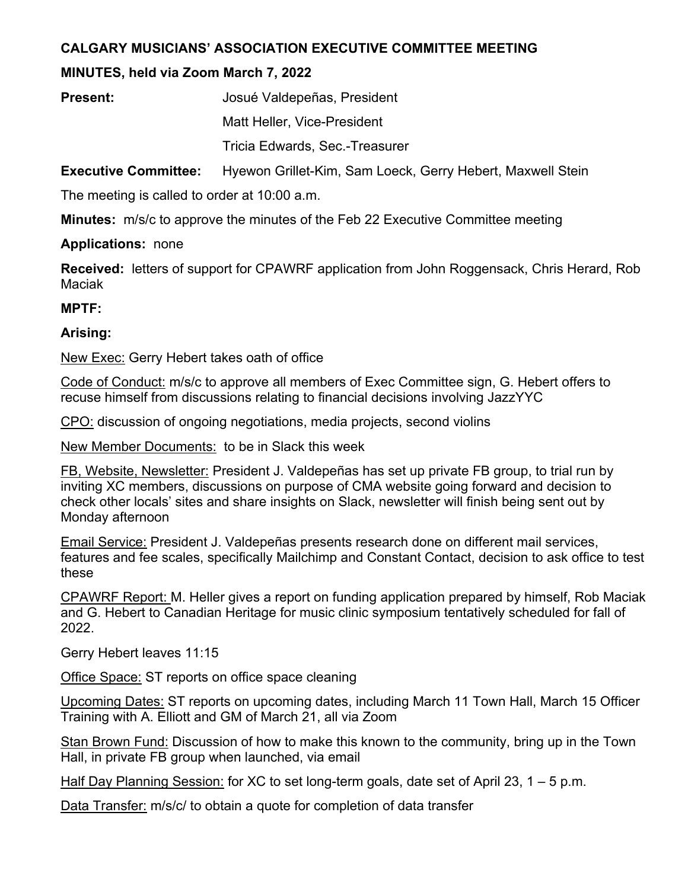# **CALGARY MUSICIANS' ASSOCIATION EXECUTIVE COMMITTEE MEETING**

# **MINUTES, held via Zoom March 7, 2022**

| <b>Present:</b> | Josué Valdepeñas, President    |
|-----------------|--------------------------------|
|                 | Matt Heller, Vice-President    |
|                 | Tricia Edwards, Sec.-Treasurer |

**Executive Committee:** Hyewon Grillet-Kim, Sam Loeck, Gerry Hebert, Maxwell Stein

The meeting is called to order at 10:00 a.m.

**Minutes:** m/s/c to approve the minutes of the Feb 22 Executive Committee meeting

### **Applications:** none

**Received:** letters of support for CPAWRF application from John Roggensack, Chris Herard, Rob Maciak

#### **MPTF:**

### **Arising:**

New Exec: Gerry Hebert takes oath of office

Code of Conduct: m/s/c to approve all members of Exec Committee sign, G. Hebert offers to recuse himself from discussions relating to financial decisions involving JazzYYC

CPO: discussion of ongoing negotiations, media projects, second violins

New Member Documents: to be in Slack this week

FB, Website, Newsletter: President J. Valdepeñas has set up private FB group, to trial run by inviting XC members, discussions on purpose of CMA website going forward and decision to check other locals' sites and share insights on Slack, newsletter will finish being sent out by Monday afternoon

Email Service: President J. Valdepeñas presents research done on different mail services, features and fee scales, specifically Mailchimp and Constant Contact, decision to ask office to test these

CPAWRF Report: M. Heller gives a report on funding application prepared by himself, Rob Maciak and G. Hebert to Canadian Heritage for music clinic symposium tentatively scheduled for fall of 2022.

Gerry Hebert leaves 11:15

Office Space: ST reports on office space cleaning

Upcoming Dates: ST reports on upcoming dates, including March 11 Town Hall, March 15 Officer Training with A. Elliott and GM of March 21, all via Zoom

Stan Brown Fund: Discussion of how to make this known to the community, bring up in the Town Hall, in private FB group when launched, via email

Half Day Planning Session: for XC to set long-term goals, date set of April 23, 1 – 5 p.m.

Data Transfer: m/s/c/ to obtain a quote for completion of data transfer